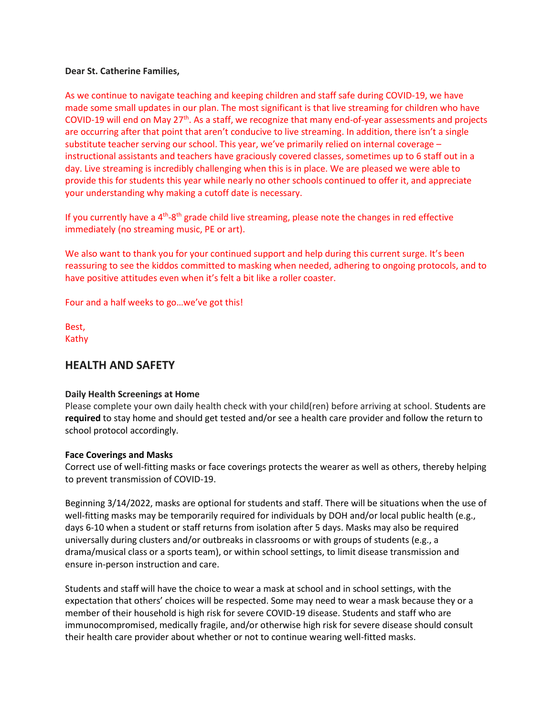#### **Dear St. Catherine Families,**

As we continue to navigate teaching and keeping children and staff safe during COVID-19, we have made some small updates in our plan. The most significant is that live streaming for children who have COVID-19 will end on May 27<sup>th</sup>. As a staff, we recognize that many end-of-year assessments and projects are occurring after that point that aren't conducive to live streaming. In addition, there isn't a single substitute teacher serving our school. This year, we've primarily relied on internal coverage – instructional assistants and teachers have graciously covered classes, sometimes up to 6 staff out in a day. Live streaming is incredibly challenging when this is in place. We are pleased we were able to provide this for students this year while nearly no other schools continued to offer it, and appreciate your understanding why making a cutoff date is necessary.

If you currently have a 4<sup>th</sup>-8<sup>th</sup> grade child live streaming, please note the changes in red effective immediately (no streaming music, PE or art).

We also want to thank you for your continued support and help during this current surge. It's been reassuring to see the kiddos committed to masking when needed, adhering to ongoing protocols, and to have positive attitudes even when it's felt a bit like a roller coaster.

Four and a half weeks to go…we've got this!

Best, Kathy

# **HEALTH AND SAFETY**

#### **Daily Health Screenings at Home**

Please complete your own daily health check with your child(ren) before arriving at school. Students are **required** to stay home and should get tested and/or see a health care provider and follow the return to school protocol accordingly.

### **Face Coverings and Masks**

Correct use of well-fitting masks or face coverings protects the wearer as well as others, thereby helping to prevent transmission of COVID-19.

Beginning 3/14/2022, masks are optional for students and staff. There will be situations when the use of well-fitting masks may be temporarily required for individuals by DOH and/or local public health (e.g., days 6-10 when a student or staff returns from isolation after 5 days. Masks may also be required universally during clusters and/or outbreaks in classrooms or with groups of students (e.g., a drama/musical class or a sports team), or within school settings, to limit disease transmission and ensure in-person instruction and care.

Students and staff will have the choice to wear a mask at school and in school settings, with the expectation that others' choices will be respected. Some may need to wear a mask because they or a member of their household is high risk for severe COVID-19 disease. Students and staff who are immunocompromised, medically fragile, and/or otherwise high risk for severe disease should consult their health care provider about whether or not to continue wearing well-fitted masks.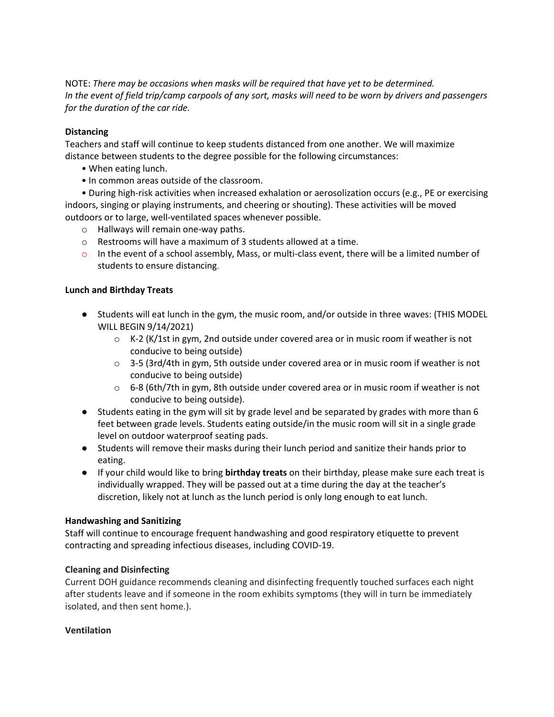NOTE: *There may be occasions when masks will be required that have yet to be determined. In the event of field trip/camp carpools of any sort, masks will need to be worn by drivers and passengers for the duration of the car ride.*

## **Distancing**

Teachers and staff will continue to keep students distanced from one another. We will maximize distance between students to the degree possible for the following circumstances:

- When eating lunch.
- In common areas outside of the classroom.

• During high-risk activities when increased exhalation or aerosolization occurs (e.g., PE or exercising indoors, singing or playing instruments, and cheering or shouting). These activities will be moved outdoors or to large, well-ventilated spaces whenever possible.

- o Hallways will remain one-way paths.
- o Restrooms will have a maximum of 3 students allowed at a time.
- $\circ$  In the event of a school assembly, Mass, or multi-class event, there will be a limited number of students to ensure distancing.

### **Lunch and Birthday Treats**

- Students will eat lunch in the gym, the music room, and/or outside in three waves: (THIS MODEL WILL BEGIN 9/14/2021)
	- $\circ$  K-2 (K/1st in gym, 2nd outside under covered area or in music room if weather is not conducive to being outside)
	- $\circ$  3-5 (3rd/4th in gym, 5th outside under covered area or in music room if weather is not conducive to being outside)
	- $\circ$  6-8 (6th/7th in gym, 8th outside under covered area or in music room if weather is not conducive to being outside).
- Students eating in the gym will sit by grade level and be separated by grades with more than 6 feet between grade levels. Students eating outside/in the music room will sit in a single grade level on outdoor waterproof seating pads.
- Students will remove their masks during their lunch period and sanitize their hands prior to eating.
- If your child would like to bring **birthday treats** on their birthday, please make sure each treat is individually wrapped. They will be passed out at a time during the day at the teacher's discretion, likely not at lunch as the lunch period is only long enough to eat lunch.

### **Handwashing and Sanitizing**

Staff will continue to encourage frequent handwashing and good respiratory etiquette to prevent contracting and spreading infectious diseases, including COVID-19.

### **Cleaning and Disinfecting**

Current DOH guidance recommends cleaning and disinfecting frequently touched surfaces each night after students leave and if someone in the room exhibits symptoms (they will in turn be immediately isolated, and then sent home.).

### **Ventilation**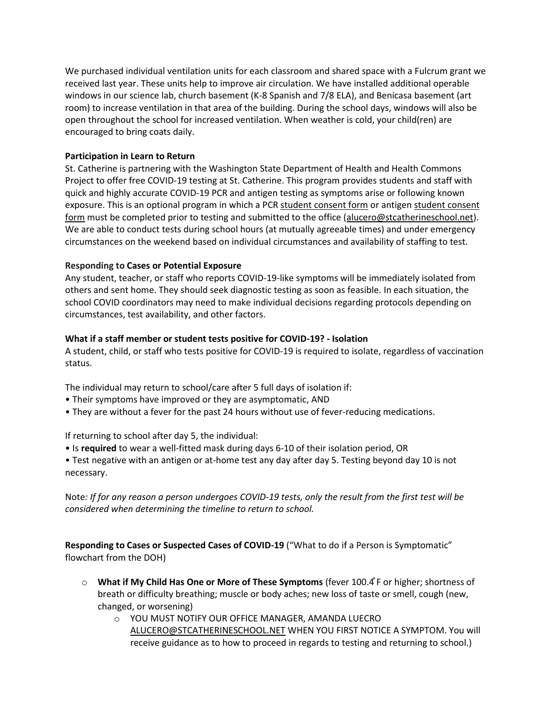We purchased individual ventilation units for each classroom and shared space with a Fulcrum grant we received last year. These units help to improve air circulation. We have installed additional operable windows in our science lab, church basement (K-8 Spanish and 7/8 ELA), and Benicasa basement (art room) to increase ventilation in that area of the building. During the school days, windows will also be open throughout the school for increased ventilation. When weather is cold, your child(ren) are encouraged to bring coats daily.

### **Participation in Learn to Return**

St. Catherine is partnering with the Washington State Department of Health and Health Commons Project to offer free COVID-19 testing at St. Catherine. This program provides students and staff with quick and highly accurate COVID-19 PCR and antigen testing as symptoms arise or following known exposure. This is an optional program in which a PCR [student consent form](file:///G:/My%20Drive/2021-2022%20Important%20Information/COVID/Learn%20To%20Return/School%20Student%20Consent%20Form%20--%20St.%20Catherine%20of%20Siena%20School.pdf) or antige[n student consent](https://docs.google.com/document/d/1W7AsRaNuXK5SgpXRFDgz3C65rG-e6viN/edit?usp=sharing&ouid=102340824807521366180&rtpof=true&sd=true)  [form](https://docs.google.com/document/d/1W7AsRaNuXK5SgpXRFDgz3C65rG-e6viN/edit?usp=sharing&ouid=102340824807521366180&rtpof=true&sd=true) must be completed prior to testing and submitted to the office [\(alucero@stcatherineschool.net\)](mailto:alucero@stcatherineschool.net). We are able to conduct tests during school hours (at mutually agreeable times) and under emergency circumstances on the weekend based on individual circumstances and availability of staffing to test.

## **Responding to Cases or Potential Exposure**

Any student, teacher, or staff who reports COVID-19-like symptoms will be immediately isolated from others and sent home. They should seek diagnostic testing as soon as feasible. In each situation, the school COVID coordinators may need to make individual decisions regarding protocols depending on circumstances, test availability, and other factors.

## **What if a staff member or student tests positive for COVID-19? - Isolation**

A student, child, or staff who tests positive for COVID-19 is required to isolate, regardless of vaccination status.

The individual may return to school/care after 5 full days of isolation if:

- Their symptoms have improved or they are asymptomatic, AND
- They are without a fever for the past 24 hours without use of fever-reducing medications.

If returning to school after day 5, the individual:

• Is **required** to wear a well-fitted mask during days 6-10 of their isolation period, OR

• Test negative with an antigen or at-home test any day after day 5. Testing beyond day 10 is not necessary.

Note*: If for any reason a person undergoes COVID-19 tests, only the result from the first test will be considered when determining the timeline to return to school.*

**Responding to Cases or Suspected Cases of COVID-19** ("What to do if a Person is Symptomatic" flowchart from the DOH)

- o **What if My Child Has One or More of These Symptoms** (fever 100.4֯F or higher; shortness of breath or difficulty breathing; muscle or body aches; new loss of taste or smell, cough (new, changed, or worsening)
	- o YOU MUST NOTIFY OUR OFFICE MANAGER, AMANDA LUECRO [ALUCERO@STCATHERINESCHOOL.NET](mailto:ALUCERO@STCATHERINESCHOOL.NET) WHEN YOU FIRST NOTICE A SYMPTOM. You will receive guidance as to how to proceed in regards to testing and returning to school.)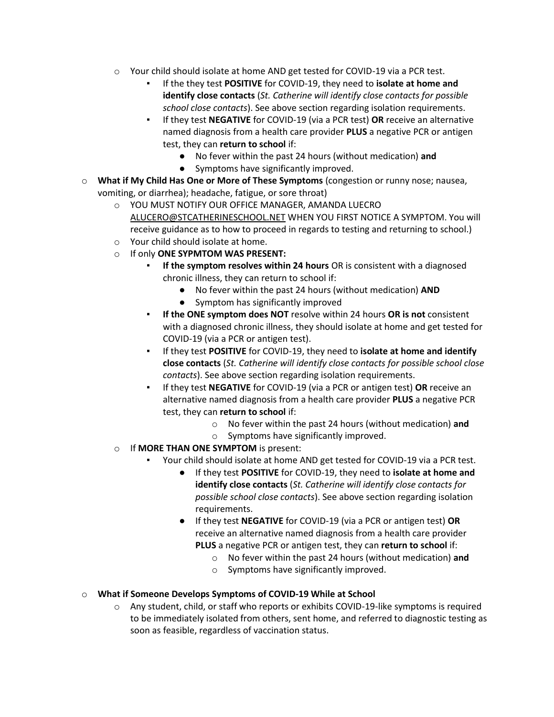- $\circ$  Your child should isolate at home AND get tested for COVID-19 via a PCR test.
	- If the they test **POSITIVE** for COVID-19, they need to **isolate at home and identify close contacts** (*St. Catherine will identify close contacts for possible school close contacts*). See above section regarding isolation requirements.
	- If they test **NEGATIVE** for COVID-19 (via a PCR test) OR receive an alternative named diagnosis from a health care provider **PLUS** a negative PCR or antigen test, they can **return to school** if:
		- No fever within the past 24 hours (without medication) **and**
		- Symptoms have significantly improved.
- o **What if My Child Has One or More of These Symptoms** (congestion or runny nose; nausea, vomiting, or diarrhea); headache, fatigue, or sore throat)
	- o YOU MUST NOTIFY OUR OFFICE MANAGER, AMANDA LUECRO [ALUCERO@STCATHERINESCHOOL.NET](mailto:ALUCERO@STCATHERINESCHOOL.NET) WHEN YOU FIRST NOTICE A SYMPTOM. You will receive guidance as to how to proceed in regards to testing and returning to school.)
	- o Your child should isolate at home.
	- o If only **ONE SYPMTOM WAS PRESENT:**
		- **If the symptom resolves within 24 hours** OR is consistent with a diagnosed chronic illness, they can return to school if:
			- No fever within the past 24 hours (without medication) **AND**
			- Symptom has significantly improved
		- **If the ONE symptom does NOT** resolve within 24 hours OR is not consistent with a diagnosed chronic illness, they should isolate at home and get tested for COVID-19 (via a PCR or antigen test).
		- If they test **POSITIVE** for COVID-19, they need to **isolate at home and identify close contacts** (*St. Catherine will identify close contacts for possible school close contacts*). See above section regarding isolation requirements.
		- If they test **NEGATIVE** for COVID-19 (via a PCR or antigen test) OR receive an alternative named diagnosis from a health care provider **PLUS** a negative PCR test, they can **return to school** if:
			- o No fever within the past 24 hours (without medication) **and**
			- o Symptoms have significantly improved.
	- o If **MORE THAN ONE SYMPTOM** is present:
		- Your child should isolate at home AND get tested for COVID-19 via a PCR test.
			- If they test **POSITIVE** for COVID-19, they need to **isolate at home and identify close contacts** (*St. Catherine will identify close contacts for possible school close contacts*). See above section regarding isolation requirements.
			- If they test **NEGATIVE** for COVID-19 (via a PCR or antigen test) **OR**  receive an alternative named diagnosis from a health care provider **PLUS** a negative PCR or antigen test, they can **return to school** if:
				- o No fever within the past 24 hours (without medication) **and**
				- o Symptoms have significantly improved.

### o **What if Someone Develops Symptoms of COVID-19 While at School**

 $\circ$  Any student, child, or staff who reports or exhibits COVID-19-like symptoms is required to be immediately isolated from others, sent home, and referred to diagnostic testing as soon as feasible, regardless of vaccination status.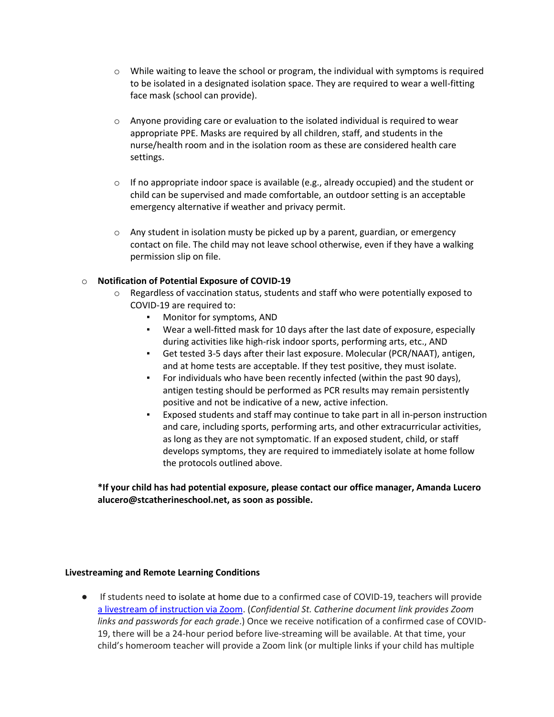- $\circ$  While waiting to leave the school or program, the individual with symptoms is required to be isolated in a designated isolation space. They are required to wear a well-fitting face mask (school can provide).
- $\circ$  Anyone providing care or evaluation to the isolated individual is required to wear appropriate PPE. Masks are required by all children, staff, and students in the nurse/health room and in the isolation room as these are considered health care settings.
- $\circ$  If no appropriate indoor space is available (e.g., already occupied) and the student or child can be supervised and made comfortable, an outdoor setting is an acceptable emergency alternative if weather and privacy permit.
- $\circ$  Any student in isolation musty be picked up by a parent, guardian, or emergency contact on file. The child may not leave school otherwise, even if they have a walking permission slip on file.

## o **Notification of Potential Exposure of COVID-19**

- $\circ$  Regardless of vaccination status, students and staff who were potentially exposed to COVID-19 are required to:
	- Monitor for symptoms, AND
	- Wear a well-fitted mask for 10 days after the last date of exposure, especially during activities like high-risk indoor sports, performing arts, etc., AND
	- Get tested 3-5 days after their last exposure. Molecular (PCR/NAAT), antigen, and at home tests are acceptable. If they test positive, they must isolate.
	- For individuals who have been recently infected (within the past 90 days), antigen testing should be performed as PCR results may remain persistently positive and not be indicative of a new, active infection.
	- Exposed students and staff may continue to take part in all in-person instruction and care, including sports, performing arts, and other extracurricular activities, as long as they are not symptomatic. If an exposed student, child, or staff develops symptoms, they are required to immediately isolate at home follow the protocols outlined above.

**\*If your child has had potential exposure, please contact our office manager, Amanda Lucero alucero@stcatherineschool.net, as soon as possible.** 

### **Livestreaming and Remote Learning Conditions**

● If students need to isolate at home due to a confirmed case of COVID-19, teachers will provide [a livestream of instruction via Zoom.](https://docs.google.com/spreadsheets/d/1gj6uaiwQoz0Cs5btEBb1x7n0eLS8op2_mVpgM1unXVU/edit?usp=sharing) (*Confidential St. Catherine document link provides Zoom links and passwords for each grade*.) Once we receive notification of a confirmed case of COVID-19, there will be a 24-hour period before live-streaming will be available. At that time, your child's homeroom teacher will provide a Zoom link (or multiple links if your child has multiple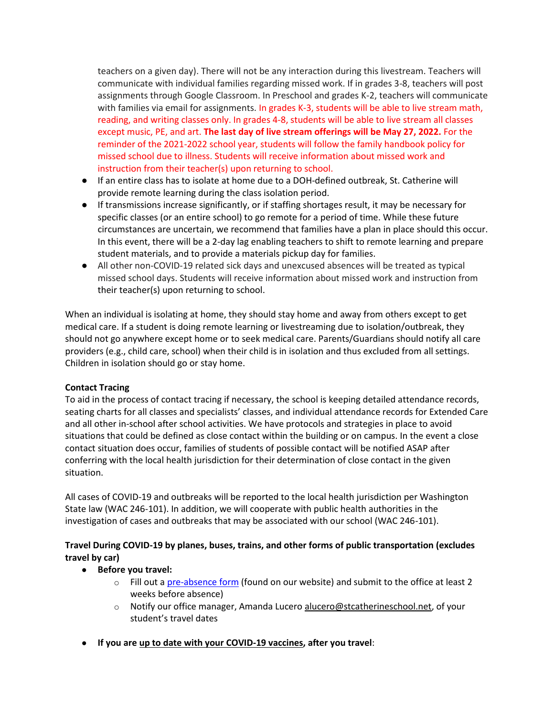teachers on a given day). There will not be any interaction during this livestream. Teachers will communicate with individual families regarding missed work. If in grades 3-8, teachers will post assignments through Google Classroom. In Preschool and grades K-2, teachers will communicate with families via email for assignments. In grades K-3, students will be able to live stream math, reading, and writing classes only. In grades 4-8, students will be able to live stream all classes except music, PE, and art. **The last day of live stream offerings will be May 27, 2022.** For the reminder of the 2021-2022 school year, students will follow the family handbook policy for missed school due to illness. Students will receive information about missed work and instruction from their teacher(s) upon returning to school.

- If an entire class has to isolate at home due to a DOH-defined outbreak, St. Catherine will provide remote learning during the class isolation period.
- If transmissions increase significantly, or if staffing shortages result, it may be necessary for specific classes (or an entire school) to go remote for a period of time. While these future circumstances are uncertain, we recommend that families have a plan in place should this occur. In this event, there will be a 2-day lag enabling teachers to shift to remote learning and prepare student materials, and to provide a materials pickup day for families.
- All other non-COVID-19 related sick days and unexcused absences will be treated as typical missed school days. Students will receive information about missed work and instruction from their teacher(s) upon returning to school.

When an individual is isolating at home, they should stay home and away from others except to get medical care. If a student is doing remote learning or livestreaming due to isolation/outbreak, they should not go anywhere except home or to seek medical care. Parents/Guardians should notify all care providers (e.g., child care, school) when their child is in isolation and thus excluded from all settings. Children in isolation should go or stay home.

## **Contact Tracing**

To aid in the process of contact tracing if necessary, the school is keeping detailed attendance records, seating charts for all classes and specialists' classes, and individual attendance records for Extended Care and all other in-school after school activities. We have protocols and strategies in place to avoid situations that could be defined as close contact within the building or on campus. In the event a close contact situation does occur, families of students of possible contact will be notified ASAP after conferring with the local health jurisdiction for their determination of close contact in the given situation.

All cases of COVID-19 and outbreaks will be reported to the local health jurisdiction per Washington State law (WAC 246-101). In addition, we will cooperate with public health authorities in the investigation of cases and outbreaks that may be associated with our school (WAC 246-101).

# **Travel During COVID-19 by planes, buses, trains, and other forms of public transportation (excludes travel by car)**

- **Before you travel:**
	- $\circ$  Fill out a [pre-absence form](https://docs.google.com/document/d/1MVk5ghdyLo_NkjS5UQutaqQddc_s3WOz/edit?usp=sharing&ouid=102340824807521366180&rtpof=true&sd=true) (found on our website) and submit to the office at least 2 weeks before absence)
	- o Notify our office manager, Amanda Lucer[o alucero@stcatherineschool.net,](mailto:alucero@stcatherineschool.net) of your student's travel dates
- **If you are [up to date with your COVID-19 vaccines,](https://www.cdc.gov/coronavirus/2019-ncov/vaccines/stay-up-to-date.html) after you travel**: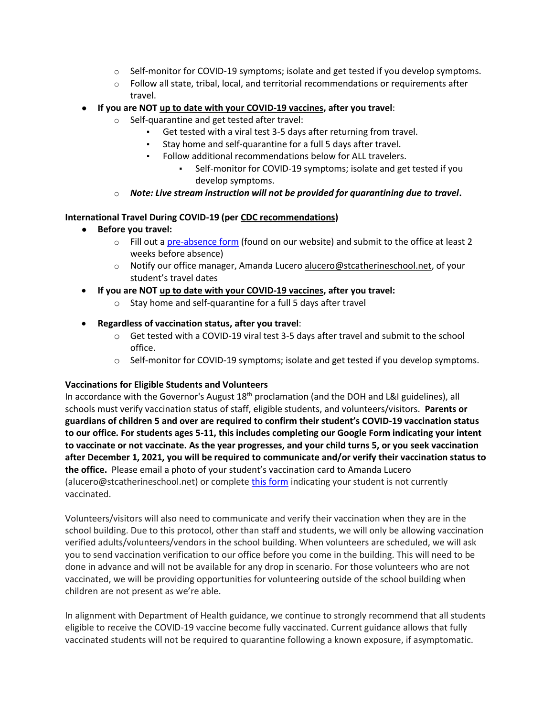- $\circ$  Self-monitor for COVID-19 symptoms; isolate and get tested if you develop symptoms.
- $\circ$  Follow all state, tribal, local, and territorial recommendations or requirements after travel.
- **If you are NOT [up to date with your COVID-19 vaccines,](https://www.cdc.gov/coronavirus/2019-ncov/vaccines/stay-up-to-date.html) after you travel**:
	- o Self-quarantine and get tested after travel:
		- Get tested with a viral test 3-5 days after returning from travel.
		- Stay home and self-quarantine for a full 5 days after travel.
		- Follow additional recommendations below for ALL travelers.
			- Self-monitor for COVID-19 symptoms; isolate and get tested if you develop symptoms.
	- o *Note: Live stream instruction will not be provided for quarantining due to travel***.**

## **International Travel During COVID-19 (per [CDC recommendations\)](https://www.cdc.gov/coronavirus/2019-ncov/travelers/international-travel-during-covid19.html)**

- **Before you travel:**
	- $\circ$  Fill out a [pre-absence form](https://docs.google.com/document/d/1MVk5ghdyLo_NkjS5UQutaqQddc_s3WOz/edit?usp=sharing&ouid=102340824807521366180&rtpof=true&sd=true) (found on our website) and submit to the office at least 2 weeks before absence)
	- o Notify our office manager, Amanda Lucer[o alucero@stcatherineschool.net,](mailto:alucero@stcatherineschool.net) of your student's travel dates
- **If you are NOT up [to date with your COVID-19 vaccines,](https://www.cdc.gov/coronavirus/2019-ncov/vaccines/stay-up-to-date.html) after you travel:**
	- Stay home and self-quarantine for a full 5 days after travel
- **Regardless of vaccination status, after you travel**:
	- $\circ$  Get tested with a COVID-19 viral test 3-5 days after travel and submit to the school office.
	- $\circ$  Self-monitor for COVID-19 symptoms; isolate and get tested if you develop symptoms.

### **Vaccinations for Eligible Students and Volunteers**

In accordance with the Governor's August 18<sup>th</sup> proclamation (and the DOH and L&I guidelines), all schools must verify vaccination status of staff, eligible students, and volunteers/visitors. **Parents or guardians of children 5 and over are required to confirm their student's COVID-19 vaccination status to our office. For students ages 5-11, this includes completing our Google Form indicating your intent to vaccinate or not vaccinate. As the year progresses, and your child turns 5, or you seek vaccination after December 1, 2021, you will be required to communicate and/or verify their vaccination status to the office.** Please email a photo of your student's vaccination card to Amanda Lucero (alucero@stcatherineschool.net) or complete [this form](https://docs.google.com/forms/d/e/1FAIpQLSeypPXHJ-Qrd5DgdenSLgv5Rzt7AVVp877ymh7wKP6hVhjydg/viewform?usp=sf_link) indicating your student is not currently vaccinated.

Volunteers/visitors will also need to communicate and verify their vaccination when they are in the school building. Due to this protocol, other than staff and students, we will only be allowing vaccination verified adults/volunteers/vendors in the school building. When volunteers are scheduled, we will ask you to send vaccination verification to our office before you come in the building. This will need to be done in advance and will not be available for any drop in scenario. For those volunteers who are not vaccinated, we will be providing opportunities for volunteering outside of the school building when children are not present as we're able.

In alignment with Department of Health guidance, we continue to strongly recommend that all students eligible to receive the COVID-19 vaccine become fully vaccinated. Current guidance allows that fully vaccinated students will not be required to quarantine following a known exposure, if asymptomatic.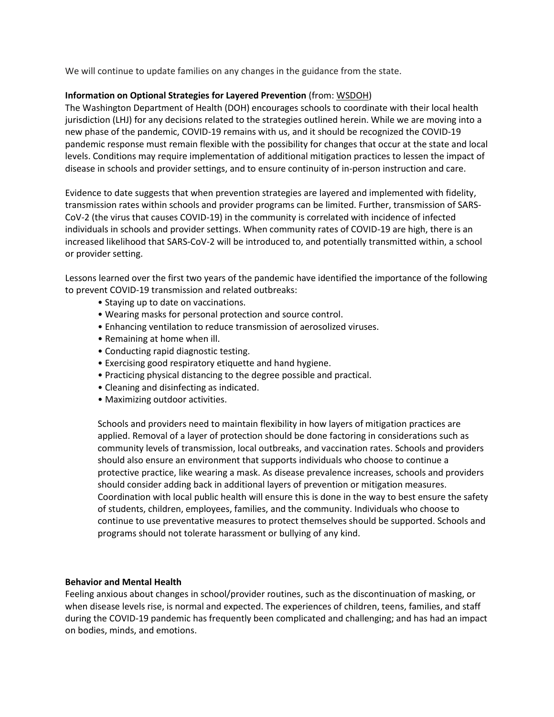We will continue to update families on any changes in the guidance from the state.

#### **Information on Optional Strategies for Layered Prevention** (from[: WSDOH\)](https://doh.wa.gov/sites/default/files/2022-03/821-165-K12SchoolsChildCare.pdf)

The Washington Department of Health (DOH) encourages schools to coordinate with their local health jurisdiction (LHJ) for any decisions related to the strategies outlined herein. While we are moving into a new phase of the pandemic, COVID-19 remains with us, and it should be recognized the COVID-19 pandemic response must remain flexible with the possibility for changes that occur at the state and local levels. Conditions may require implementation of additional mitigation practices to lessen the impact of disease in schools and provider settings, and to ensure continuity of in-person instruction and care.

Evidence to date suggests that when prevention strategies are layered and implemented with fidelity, transmission rates within schools and provider programs can be limited. Further, transmission of SARS-CoV-2 (the virus that causes COVID-19) in the community is correlated with incidence of infected individuals in schools and provider settings. When community rates of COVID-19 are high, there is an increased likelihood that SARS-CoV-2 will be introduced to, and potentially transmitted within, a school or provider setting.

Lessons learned over the first two years of the pandemic have identified the importance of the following to prevent COVID-19 transmission and related outbreaks:

- Staying up to date on vaccinations.
- Wearing masks for personal protection and source control.
- Enhancing ventilation to reduce transmission of aerosolized viruses.
- Remaining at home when ill.
- Conducting rapid diagnostic testing.
- Exercising good respiratory etiquette and hand hygiene.
- Practicing physical distancing to the degree possible and practical.
- Cleaning and disinfecting as indicated.
- Maximizing outdoor activities.

Schools and providers need to maintain flexibility in how layers of mitigation practices are applied. Removal of a layer of protection should be done factoring in considerations such as community levels of transmission, local outbreaks, and vaccination rates. Schools and providers should also ensure an environment that supports individuals who choose to continue a protective practice, like wearing a mask. As disease prevalence increases, schools and providers should consider adding back in additional layers of prevention or mitigation measures. Coordination with local public health will ensure this is done in the way to best ensure the safety of students, children, employees, families, and the community. Individuals who choose to continue to use preventative measures to protect themselves should be supported. Schools and programs should not tolerate harassment or bullying of any kind.

### **Behavior and Mental Health**

Feeling anxious about changes in school/provider routines, such as the discontinuation of masking, or when disease levels rise, is normal and expected. The experiences of children, teens, families, and staff during the COVID-19 pandemic has frequently been complicated and challenging; and has had an impact on bodies, minds, and emotions.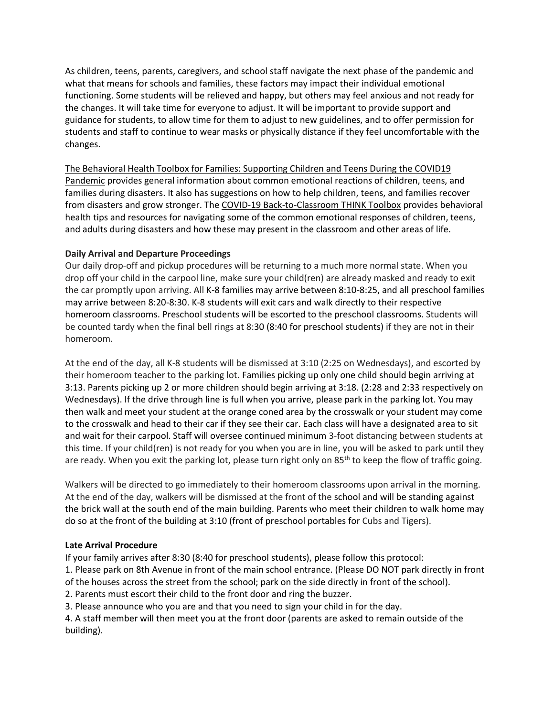As children, teens, parents, caregivers, and school staff navigate the next phase of the pandemic and what that means for schools and families, these factors may impact their individual emotional functioning. Some students will be relieved and happy, but others may feel anxious and not ready for the changes. It will take time for everyone to adjust. It will be important to provide support and guidance for students, to allow time for them to adjust to new guidelines, and to offer permission for students and staff to continue to wear masks or physically distance if they feel uncomfortable with the changes.

[The Behavioral Health Toolbox for Families: Supporting Children and Teens During the COVID19](https://doh.wa.gov/sites/default/files/legacy/Documents/1600/coronavirus/BHG-COVID19-FamilyToolbox.pdf)  [Pandemic](https://doh.wa.gov/sites/default/files/legacy/Documents/1600/coronavirus/BHG-COVID19-FamilyToolbox.pdf) provides general information about common emotional reactions of children, teens, and families during disasters. It also has suggestions on how to help children, teens, and families recover from disasters and grow stronger. The [COVID-19 Back-to-Classroom THINK Toolbox](https://doh.wa.gov/sites/default/files/legacy/Documents/1600/coronavirus/821-148-BackToClassroomToolbox.pdf) provides behavioral health tips and resources for navigating some of the common emotional responses of children, teens, and adults during disasters and how these may present in the classroom and other areas of life.

### **Daily Arrival and Departure Proceedings**

Our daily drop-off and pickup procedures will be returning to a much more normal state. When you drop off your child in the carpool line, make sure your child(ren) are already masked and ready to exit the car promptly upon arriving. All K-8 families may arrive between 8:10-8:25, and all preschool families may arrive between 8:20-8:30. K-8 students will exit cars and walk directly to their respective homeroom classrooms. Preschool students will be escorted to the preschool classrooms. Students will be counted tardy when the final bell rings at 8:30 (8:40 for preschool students) if they are not in their homeroom.

At the end of the day, all K-8 students will be dismissed at 3:10 (2:25 on Wednesdays), and escorted by their homeroom teacher to the parking lot. Families picking up only one child should begin arriving at 3:13. Parents picking up 2 or more children should begin arriving at 3:18. (2:28 and 2:33 respectively on Wednesdays). If the drive through line is full when you arrive, please park in the parking lot. You may then walk and meet your student at the orange coned area by the crosswalk or your student may come to the crosswalk and head to their car if they see their car. Each class will have a designated area to sit and wait for their carpool. Staff will oversee continued minimum 3-foot distancing between students at this time. If your child(ren) is not ready for you when you are in line, you will be asked to park until they are ready. When you exit the parking lot, please turn right only on 85<sup>th</sup> to keep the flow of traffic going.

Walkers will be directed to go immediately to their homeroom classrooms upon arrival in the morning. At the end of the day, walkers will be dismissed at the front of the school and will be standing against the brick wall at the south end of the main building. Parents who meet their children to walk home may do so at the front of the building at 3:10 (front of preschool portables for Cubs and Tigers).

### **Late Arrival Procedure**

If your family arrives after 8:30 (8:40 for preschool students), please follow this protocol:

1. Please park on 8th Avenue in front of the main school entrance. (Please DO NOT park directly in front

of the houses across the street from the school; park on the side directly in front of the school).

2. Parents must escort their child to the front door and ring the buzzer.

3. Please announce who you are and that you need to sign your child in for the day.

4. A staff member will then meet you at the front door (parents are asked to remain outside of the building).